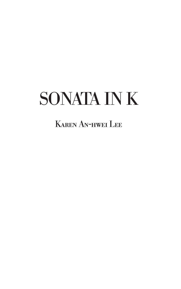# SONATA IN K

# Karen An-hwei Lee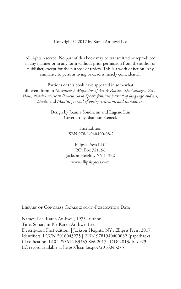Copyright © 2017 by Karen An-hwei Lee

All rights reserved. No part of this book may be transmitted or reproduced in any manner or in any form without prior permission from the author or publisher, except for the purpose of review. This is a work of fiction. Any similarity to persons living or dead is merely coincidental.

Portions of this book have appeared in somewhat different form in *Guernica: A Magazine of Art & Politics, The Collagist, Zeit-Haus, North American Review, So to Speak: feminist journal of language and art, Diode*, and *Mantis: journal of poetry, criticism, and translation*.

> Design by Joanna Sondheim and Eugene Lim Cover art by Shannon Steneck

> > First Edition ISBN 978-1-940400-08-2

Ellipsis Press LLC P.O. Box 721196 Jackson Heights, NY 11372 www.ellipsispress.com

LIBRARY OF CONGRESS CATALOGING-IN-PUBLICATION DATA

Names: Lee, Karen An-hwei, 1973- author. Title: Sonata in K / Karen An-hwei Lee. Description: First edition. | Jackson Heights, NY : Ellipsis Press, 2017. Identifiers: LCCN 2016043275 | ISBN 9781940400082 (paperback) Classification: LCC PS3612.E3435 S66 2017 | DDC 813/.6--dc23 LC record available at https://lccn.loc.gov/2016043275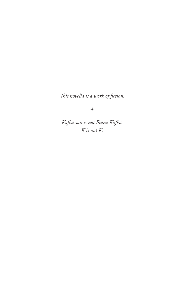*This novella is a work of fiction.* 

 $\ast$ 

*Kafka-san is not Franz Kafka. K is not K.*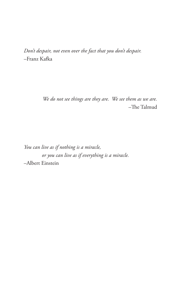*Don't despair, not even over the fact that you don't despair.*  –Franz Kafka

> *We do not see things are they are. We see them as we are.*  –The Talmud

*You can live as if nothing is a miracle, or you can live as if everything is a miracle.*  –Albert Einstein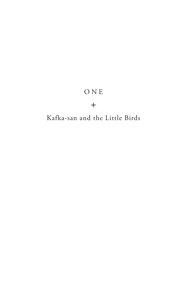# O N E

# $\rightarrow$

# Kafka-san and the Little Birds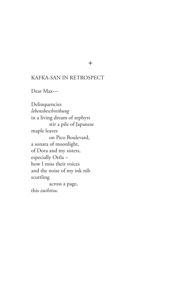# KAFKA-SAN IN RETROSPECT

Dear Max—

Delinquencies *lebensbeschreibung* in a living dream of zephyrs stir a pile of Japanese maple leaves on Pico Boulevard, a sonata of moonlight, of Dora and my sisters, especially Ottla – how I miss their voices and the noise of my ink nib scuttling across a page, this *zuihitsu*.

 $\ast$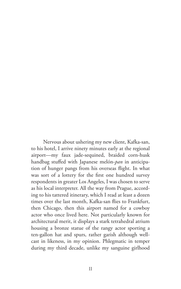Nervous about ushering my new client, Kafka-san, to his hotel, I arrive ninety minutes early at the regional airport—my faux jade-sequined, braided corn-husk handbag stuffed with Japanese melón-*pan* in anticipation of hunger pangs from his overseas flight. In what was sort of a lottery for the first one hundred survey respondents in greater Los Angeles, I was chosen to serve as his local interpreter. All the way from Prague, according to his tattered itinerary, which I read at least a dozen times over the last month, Kafka-san flies to Frankfurt, then Chicago, then this airport named for a cowboy actor who once lived here. Not particularly known for architectural merit, it displays a stark tetrahedral atrium housing a bronze statue of the rangy actor sporting a ten-gallon hat and spurs, rather garish although wellcast in likeness, in my opinion. Phlegmatic in temper during my third decade, unlike my sanguine girlhood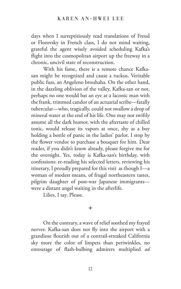days when I surreptitiously read translations of Freud or Florovsky in French class, I do not mind waiting, grateful the agent wisely avoided scheduling Kafka's flight into the cosmopolitan airport up the freeway in a chronic, uncivil state of reconstruction.

With his fame, there is a remote chance Kafkasan might be recognized and cause a ruckus. Veritable public fuss, an Angeleno brouhaha. On the other hand, in the dazzling oblivion of the valley, Kafka-san or not, perhaps no one would bat an eye at a laconic man with the frank, trimmed candor of an actuarial scribe—fatally tubercular—who, tragically, could not swallow a drop of mineral water at the end of his life. One may not swiftly assume all the dark humor, with the aftertaste of chilled tonic, would release its vapors at once, shy as a boy holding a bottle of panic in the ladies' parlor. I stop by the flower vendor to purchase a bouquet for him. Dear reader, if you didn't know already, please forgive me for the oversight. Yes, today is Kafka-san's birthday, with confessions: re-reading his selected letters, reviewing his itinerary, I proudly prepared for this visit as though I—a woman of modest means, of frugal northeastern tastes, pilgrim daughter of post-war Japanese immigrants were a distant angel waiting in the afterlife.

Lilies, I say. Please.

# $\ast$

On the contrary, a wave of relief soothed my frayed nerves: Kafka-san does not fly into the airport with a grandiose flourish out of a contrail-streaked California sky more the color of limpets than periwinkles, no entourage of flash-bulbing admirers multiplied *ad*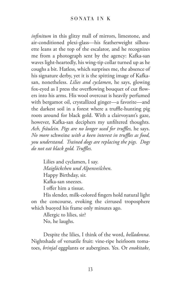*infinitum* in this glitzy mall of mirrors, limestone, and air-conditioned plexi-glass—his featherweight silhouette leans at the top of the escalator, and he recognizes me from a photograph sent by the agency: Kafka-san waves light-heartedly, his wing-tip collar turned up as he coughs a bit. Hatless, which surprises me, the absence of his signature derby, yet it is the spitting image of Kafkasan, nonetheless. *Lilies and cyclamen*, he says, glowing fox-eyed as I press the overflowing bouquet of cut flowers into his arms. His wool overcoat is heavily perfumed with bergamot oil, crystallized ginger—a favorite—and the darkest soil in a forest where a truffle-hunting pig roots around for black gold. With a clairvoyant's gaze, however, Kafka-san deciphers my unfiltered thoughts. *Ach, fräulein. Pigs are no longer used for truffles,* he says. *No more* schweine *with a keen interest in truffles as food, you understand. Trained dogs are replacing the pigs. Dogs do not eat black gold. Truffles.*

> Lilies and cyclamen, I say. *Maiglöckchen und Alpenveilchen*. Happy Birthday, sir. Kafka-san sneezes. I offer him a tissue.

His slender, milk-colored fingers hold natural light on the concourse, evoking the cirrused troposphere which buoyed his frame only minutes ago.

Allergic to lilies, sir? No, he laughs.

Despite the lilies, I think of the word, *belladonna*. Nightshade of versatile fruit: vine-ripe heirloom tomatoes, *brinjal* eggplants or aubergines. Yes. Or *enokitake*,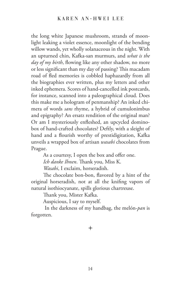the long white Japanese mushroom, strands of moonlight leaking a violet essence, moonlight of the bending willow wands, yet wholly solanaceous in the night. With an upturned chin, Kafka-san murmurs, and *what is the day of my birth*, flowing like any other shadow, no more or less significant than my day of passing? This macadam road of fled memories is cobbled haphazardly from all the biographies ever written, plus my letters and other inked ephemera. Scores of hand-cancelled ink postcards, for instance, scanned into a paleographical cloud. Does this make me a hologram of penmanship? An inked chimera of words *sans* rhyme, a hybrid of cumulonimbus and epigraphy? An ersatz rendition of the original man? Or am I mysteriously enfleshed, an upcycled dominobox of hand-crafted chocolates? Deftly, with a sleight of hand and a flourish worthy of prestidigitation, Kafka unveils a wrapped box of artisan *wasabi* chocolates from Prague.

As a courtesy, I open the box and offer one. *Ich danke Ihnen*. Thank you, Miss K. *Wasabi*, I exclaim, horseradish.

The chocolate bon-bon, flavored by a hint of the original horseradish, not at all the knifing vapors of natural isothiocyanate, spills glorious chartreuse.

Thank you, Mister Kafka.

Auspicious, I say to myself.

 In the darkness of my handbag, the melón-*pan* is forgotten.

 $\ast$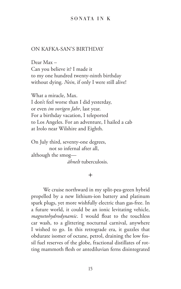## SONATA IN K

## ON KAFKA-SAN'S BIRTHDAY

Dear Max – Can you believe it? I made it to my one hundred twenty-ninth birthday without dying. *Nein*, if only I were still alive!

What a miracle, Max. I don't feel worse than I did yesterday, or even *im vorigen Jahr*, last year. For a birthday vacation, I teleported to Los Angeles. For an adventure, I hailed a cab at Irolo near Wilshire and Eighth.

On July third, seventy-one degrees, not so infernal after all, although the smog *ähnelt* tuberculosis.

## $\ast$

We cruise northward in my split-pea-green hybrid propelled by a new lithium-ion battery and platinum spark plugs, yet more wishfully electric than gas-free. In a future world, it could be an ionic levitating vehicle, *magnetohydrodynamic*. I would float to the touchless car wash, to a glittering nocturnal carnival, anywhere I wished to go. In this retrograde era, it guzzles that obdurate isomer of octane, petrol, draining the low fossil fuel reserves of the globe, fractional distillates of rotting mammoth flesh or antediluvian ferns disintegrated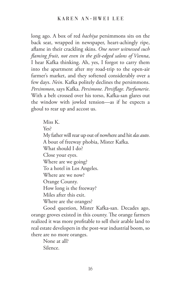long ago. A box of red *hachiya* persimmons sits on the back seat, wrapped in newspaper, heart-achingly ripe, aflame in their crackling skins. *One never witnessed such flaming fruit*, *not even in the gilt-edged salons of Vienna*, I hear Kafka thinking. Ah, yes, I forgot to carry them into the apartment after my road-trip to the open-air farmer's market, and they softened considerably over a few days. *Nein*. Kafka politely declines the persimmons. *Persimmon*, says Kafka. *Persimone. Persiflage. Parfumerie*. With a belt crossed over his torso, Kafka-san glares out the window with jowled tension—as if he expects a ghoul to rear up and accost us.

> Miss K. Yes? My father will rear up out of nowhere and hit *das auto*. A bout of freeway phobia, Mister Kafka. What should I do? Close your eyes. Where are we going? To a hotel in Los Angeles. Where are we now? Orange County. How long is the freeway? Miles after this exit. Where are the oranges?

Good question, Mister Kafka-san. Decades ago, orange groves existed in this county. The orange farmers realized it was more profitable to sell their arable land to real estate developers in the post-war industrial boom, so there are no more oranges.

> None at all? Silence.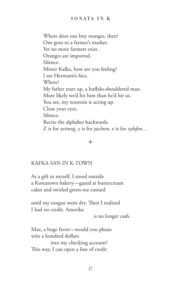Where does one buy oranges, then? One goes to a farmer's market. Yet no more farmers exist. Oranges are imported. Silence. Mister Kafka, how are you feeling? I see Hermann's face. Where? My father rears up, a buffalo-shouldered man. More likely we'd hit him than he'd hit us. You see, my neurosis is acting up. Close your eyes. Silence. Recite the alphabet backwards. Z is for *zeitung*, y is for *yachten*, x is for *xylofon*…

# $\ast$

# KAFKA-SAN IN K-TOWN

As a gift to myself, I stood outside a Koreatown bakery—gazed at buttercream cakes and swirled green-tea custard

until my tongue went dry. Then I realized I had no credit. Amerika

is no longer cash.

Max, a huge favor—would you please wire a hundred dollars into my checking account? This way, I can open a line of credit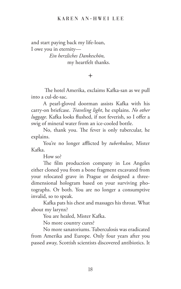#### KAREN AN-HWEI LEE

and start paying back my life-loan, I owe you in eternity— *Ein herzliches Dankeschön,*

my heartfelt thanks.

#### $\ast$

 The hotel Amerika, exclaims Kafka-san as we pull into a cul-de-sac.

A pearl-gloved doorman assists Kafka with his carry-on briefcase. *Traveling light*, he explains. *No other luggage*. Kafka looks flushed, if not feverish, so I offer a swig of mineral water from an ice-cooled bottle.

No, thank you. The fever is only tubercular, he explains.

You're no longer afflicted by *tuberkulose*, Mister Kafka.

How so?

The film production company in Los Angeles either cloned you from a bone fragment excavated from your relocated grave in Prague or designed a threedimensional hologram based on your surviving photographs. Or both. You are no longer a consumptive invalid, so to speak.

Kafka pats his chest and massages his throat. What about my larynx?

You are healed, Mister Kafka.

No more country cures?

No more sanatoriums. Tuberculosis was eradicated from Amerika and Europe. Only four years after you passed away, Scottish scientists discovered antibiotics. It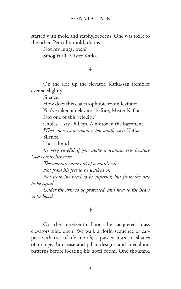started with mold and staphylococcus. One was toxic to the other. Pencillin mold, that is.

> Not my lungs, then? Smog is all, Mister Kafka.

> > $\ast$

On the ride up the elevator, Kafka-san trembles ever so slightly.

Silence.

How does this claustrophobic room levitate? You've taken an elevator before, Mister Kafka.

Not one of this velocity.

Cables, I say. Pulleys. A motor in the basement.

*Where love is, no room is too small,* says Kafka.

Silence.

The Talmud.

*Be very careful if you make a woman cry, because God counts her tears*.

*The woman came out of a man's rib.* 

*Not from his feet to be walked on.* 

*Not from his head to be superior, but from the side to be equal.* 

*Under the arm to be protected, and next to the heart to be loved.*

# $\ast$

On the nineteenth floor, the lacquered brass elevators slide open. We walk a florid sequence of carpets with tree-of-life motifs, a paisley maze in shades of orange, bird-vase-and-pillar designs and medallion patterns before locating his hotel room. One thousand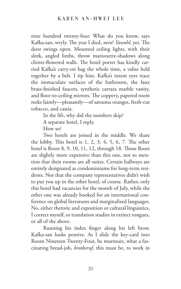nine hundred twenty-four. What do you know, says Kafka-san, wryly. The year I died, *nein*? *Yawohl*, yes. The door swings open. Mounted ceiling lights, with their sleek, angled limbs, throw marionette-shadows along chintz-flowered walls. The hotel porter has kindly carried Kafka's carry-on bag the whole time, a valise held together by a belt. I tip him. Kafka's intent eyes trace the immaculate surfaces of the bathroom, the faux brass-finished faucets, synthetic carrara marble vanity, and floor-to-ceiling mirrors. The coppery, papered room reeks faintly—pleasantly—of satsuma oranges, fresh-cut tobacco, and cassia.

In the lift, why did the numbers skip?

A separate hotel, I reply.

How so?

Two hotels are joined in the middle. We share the lobby. This hotel is 1, 2, 3, 4, 5, 6, 7. The other hotel is floors 8, 9, 10, 11, 12, through 18. Those floors are slightly more expensive than this one, not to mention that their rooms are all suites. Certain hallways are entirely designated as condominiums for long-term residents. Not that the company representatives didn't wish to put you up in the other hotel, of course. Rather, only this hotel had vacancies for the month of July, while the other one was already booked for an international conference on global literatures and marginalized languages. No, either rhetoric and exposition or cultural linguistics, I correct myself, or translation studies in extinct tongues, or all of the above.

Running his index finger along his left brow, Kafka-san looks pensive. As I slide the key-card into Room Nineteen Twenty-Four, he murmurs, what a fascinating bread-job, *brotberuf,* this must be, to work in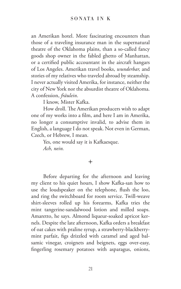an Amerikan hotel. More fascinating encounters than those of a traveling insurance man in the supernatural theatre of the Oklahoma plains, than a so-called fancy goods shop owner in the fabled ghetto of Manhattan, or a certified public accountant in the aircraft hangars of Los Angeles. Amerikan travel books, *wunderbar,* and stories of my relatives who traveled abroad by steamship. I never actually visited Amerika, for instance, neither the city of New York nor the absurdist theatre of Oklahoma. A confession, *fräulein*.

I know, Mister Kafka.

How droll. The Amerikan producers wish to adapt one of my works into a film, and here I am in Amerika, no longer a consumptive invalid, to advise them in English, a language I do not speak. Not even in German, Czech, or Hebrew, I mean.

Yes, one would say it is Kafkaesque. *Ach, nein.*

# $\ddot{\phantom{1}}$

Before departing for the afternoon and leaving my client to his quiet hours, I show Kafka-san how to use the loudspeaker on the telephone, flush the loo, and ring the switchboard for room service. Twill-weave shirt-sleeves rolled up his forearms, Kafka tries the mint tangerine-sandalwood lotion and milled soaps. Amaretto, he says. Almond liqueur-soaked apricot kernels. Despite the late afternoon, Kafka orders a breakfast of oat cakes with praline syrup, a strawberry-blackberrymint parfait, figs drizzled with caramel and aged balsamic vinegar, croignets and beignets, eggs over-easy, fingerling rosemary potatoes with asparagus, onions,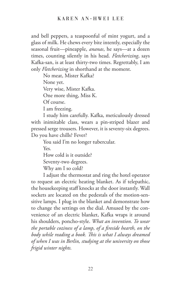and bell peppers, a teaspoonful of mint yogurt, and a glass of milk. He chews every bite intently, especially the seasonal fruit—pineapple, *ananas*, he says—at a dozen times, counting silently in his head. *Fletcherizing*, says Kafka-san, is at least thirty-two times. Regrettably, I am only *Fletcherizing* in shorthand at the moment.

No meat, Mister Kafka?

None yet.

Very wise, Mister Kafka.

One more thing, Miss K.

Of course.

I am freezing.

I study him carefully. Kafka, meticulously dressed with inimitable class, wears a pin-striped blazer and pressed serge trousers. However, it is seventy-six degrees. Do you have chills? Fever?

You said I'm no longer tubercular.

Yes.

How cold is it outside?

Seventy-two degrees.

Why am I so cold?

I adjust the thermostat and ring the hotel operator to request an electric heating blanket. As if telepathic, the housekeeping staff knocks at the door instantly. Wall sockets are located on the pedestals of the motion-sensitive lamps. I plug in the blanket and demonstrate how to change the settings on the dial. Amused by the convenience of an electric blanket, Kafka wraps it around his shoulders, poncho-style. *What an invention. To wear the portable coziness of a lamp, of a fireside hearth, on the body while reading a book. This is what I always dreamed of when I was in Berlin, studying at the university on those frigid winter nights.*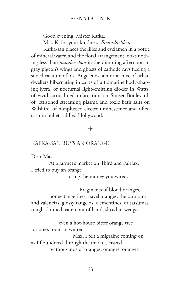Good evening, Mister Kafka.

Miss K, for your kindness. *Freundlichkeit*.

Kafka-san places the lilies and cyclamen in a bottle of mineral water, and the floral arrangement looks nothing less than *wunderschön* in the dimming afternoon of gray pigeon's wings and ghosts of cathode rays fleeing a siloed vacuum of lost Angelenos, a mortar hive of urban dwellers hibernating in caves of ultramarine body-shaping lycra, of nocturnal light-emitting diodes in Watts, of vivid citrus-hued infatuation on Sunset Boulevard, of jettisoned streaming plasma and toxic bath salts on Wilshire, of nonplussed electroluminescence and rifled cash in bullet-riddled Hollywood.

# $\ast$

## KAFKA-SAN BUYS AN ORANGE

Dear Max –

At a farmer's market on Third and Fairfax, I tried to buy an orange

using the money you wired.

 Fragments of blood oranges, honey tangerines, navel oranges, the cara cara and valencias, glossy tangelos, clementines, or satsumas tough-skinned, eaten out of hand, sliced in wedges –

 even a hot-house bitter orange tree for one's room in winter.

 Max, I felt a migraine coming on as I floundered through the market, crazed by thousands of oranges, oranges, oranges.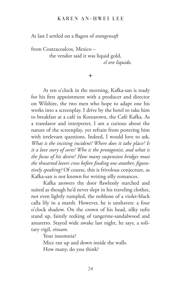## KAREN AN-HWEI LEE

At last I settled on a flagon of *orangensaft*

from Coatzacoalcos, Mexico – the vendor said it was liquid gold, *el oro líquido.*

## $\ast$

At ten o'clock in the morning, Kafka-san is ready for his first appointment with a producer and director on Wilshire, the two men who hope to adapt one his works into a screenplay. I drive by the hotel to take him to breakfast at a café in Koreatown, the Café Kafka. As a translator and interpreter, I am a curious about the nature of the screenplay, yet refrain from pestering him with irrelevant questions. Indeed, I would love to ask, *What is the inciting incident? Where does it take place? Is it a love story of sorts? Who is the protagonist, and what is the focus of his desire? How many suspension bridges must the thwarted lovers cross before finding one another, figuratively speaking?* Of course, this is frivolous conjecture, as Kafka-san is not known for writing silly romances.

Kafka answers the door flawlessly starched and suited as though he'd never slept in his traveling clothes, not even lightly rumpled, the noblesse of a violet-black calla lily in a marsh. However, he is unshaven: a four o'clock shadow. On the crown of his head, silky tufts stand up, faintly reeking of tangerine-sandalwood and amaretto. Stayed wide awake last night, he says, a solitary vigil, *einsam*.

Your insomnia?

Mice ran up and down inside the walls.

How many, do you think?